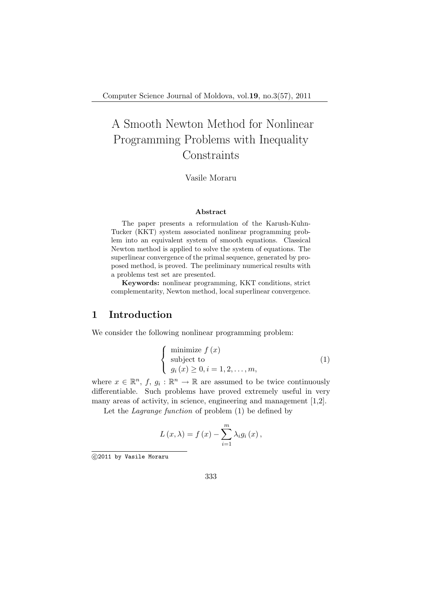# A Smooth Newton Method for Nonlinear Programming Problems with Inequality **Constraints**

Vasile Moraru

#### Abstract

The paper presents a reformulation of the Karush-Kuhn-Tucker (KKT) system associated nonlinear programming problem into an equivalent system of smooth equations. Classical Newton method is applied to solve the system of equations. The superlinear convergence of the primal sequence, generated by proposed method, is proved. The preliminary numerical results with a problems test set are presented.

Keywords: nonlinear programming, KKT conditions, strict complementarity, Newton method, local superlinear convergence.

## 1 Introduction

We consider the following nonlinear programming problem:

$$
\begin{cases}\n\text{minimize } f(x) \\
\text{subject to} \\
g_i(x) \ge 0, i = 1, 2, \dots, m,\n\end{cases}
$$
\n(1)

where  $x \in \mathbb{R}^n$ ,  $f, g_i : \mathbb{R}^n \to \mathbb{R}$  are assumed to be twice continuously differentiable. Such problems have proved extremely useful in very many areas of activity, in science, engineering and management [1,2].

Let the Lagrange function of problem (1) be defined by

$$
L(x,\lambda) = f(x) - \sum_{i=1}^{m} \lambda_i g_i(x),
$$

<sup>°</sup>c 2011 by Vasile Moraru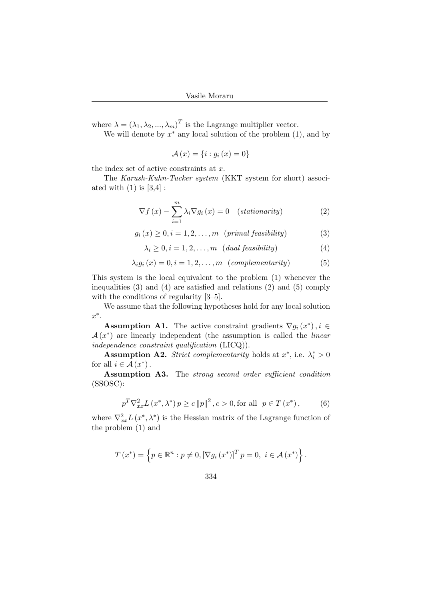where  $\lambda = (\lambda_1, \lambda_2, ..., \lambda_m)^T$  is the Lagrange multiplier vector.

We will denote by  $x^*$  any local solution of the problem  $(1)$ , and by

$$
\mathcal{A}(x) = \{i : g_i(x) = 0\}
$$

the index set of active constraints at  $x$ .

The Karush-Kuhn-Tucker system (KKT system for short) associated with  $(1)$  is  $[3,4]$ :

$$
\nabla f\left(x\right) - \sum_{i=1}^{m} \lambda_i \nabla g_i\left(x\right) = 0 \quad \text{(stationarity)}\tag{2}
$$

$$
g_i(x) \ge 0, i = 1, 2, \dots, m \quad (\text{primal feasibility}) \tag{3}
$$

$$
\lambda_i \ge 0, i = 1, 2, \dots, m \quad (dual feasibility)
$$
 (4)

$$
\lambda_i g_i(x) = 0, i = 1, 2, \dots, m \quad (complementarity)
$$
 (5)

This system is the local equivalent to the problem (1) whenever the inequalities (3) and (4) are satisfied and relations (2) and (5) comply with the conditions of regularity [3–5].

We assume that the following hypotheses hold for any local solution  $x^*$ .

**Assumption A1.** The active constraint gradients  $\nabla g_i(x^*)$ ,  $i \in$  $\mathcal{A}(x^*)$  are linearly independent (the assumption is called the *linear* independence constraint qualification (LICQ)).

**Assumption A2.** Strict complementarity holds at  $x^*$ , i.e.  $\lambda_i^* > 0$ for all  $i \in \mathcal{A}(x^*)$ .

Assumption A3. The strong second order sufficient condition (SSOSC):

$$
p^{T} \nabla_{xx}^{2} L(x^{*}, \lambda^{*}) p \ge c \|p\|^{2}, c > 0, \text{for all } p \in T(x^{*}),
$$
 (6)

where  $\nabla_{xx}^2 L(x^*, \lambda^*)$  is the Hessian matrix of the Lagrange function of the problem (1) and

$$
T(x^*) = \left\{ p \in \mathbb{R}^n : p \neq 0, [\nabla g_i(x^*)]^T p = 0, i \in \mathcal{A}(x^*) \right\}.
$$

$$
334\,
$$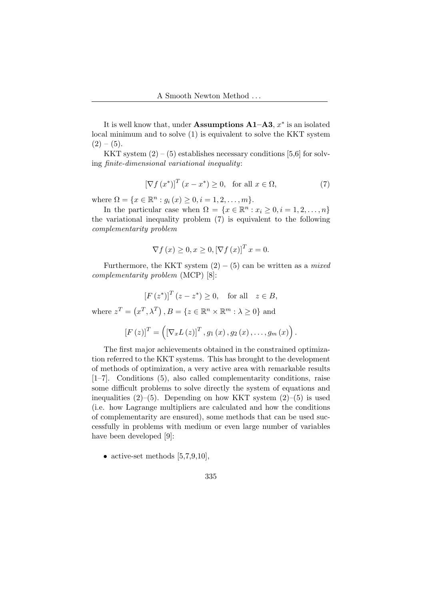It is well know that, under Assumptions  $A1-A3$ ,  $x^*$  is an isolated local minimum and to solve (1) is equivalent to solve the KKT system  $(2) - (5)$ .

KKT system  $(2) - (5)$  establishes necessary conditions [5,6] for solving finite-dimensional variational inequality:

$$
\left[\nabla f\left(x^*\right)\right]^T \left(x - x^*\right) \ge 0, \quad \text{for all } x \in \Omega,\tag{7}
$$

where  $\Omega = \{x \in \mathbb{R}^n : g_i(x) \geq 0, i = 1, 2, ..., m\}.$ 

In the particular case when  $\Omega = \{x \in \mathbb{R}^n : x_i \geq 0, i = 1, 2, ..., n\}$ the variational inequality problem (7) is equivalent to the following complementarity problem

$$
\nabla f(x) \ge 0, x \ge 0, [\nabla f(x)]^T x = 0.
$$

Furthermore, the KKT system  $(2) - (5)$  can be written as a mixed complementarity problem (MCP) [8]:

$$
[F(z^*)]^T (z - z^*) \ge 0, \text{ for all } z \in B,
$$

where  $z^T =$  (  $x^T, \lambda^T$  $B = \{z \in \mathbb{R}^n \times \mathbb{R}^m : \lambda \geq 0\}$  and

$$
[F(z)]^{T} = ( [\nabla_x L(z)]^{T}, g_1(x), g_2(x), \ldots, g_m(x) ).
$$

The first major achievements obtained in the constrained optimization referred to the KKT systems. This has brought to the development of methods of optimization, a very active area with remarkable results [1–7]. Conditions (5), also called complementarity conditions, raise some difficult problems to solve directly the system of equations and inequalities  $(2)$ – $(5)$ . Depending on how KKT system  $(2)$ – $(5)$  is used (i.e. how Lagrange multipliers are calculated and how the conditions of complementarity are ensured), some methods that can be used successfully in problems with medium or even large number of variables have been developed [9]:

• active-set methods  $[5,7,9,10]$ ,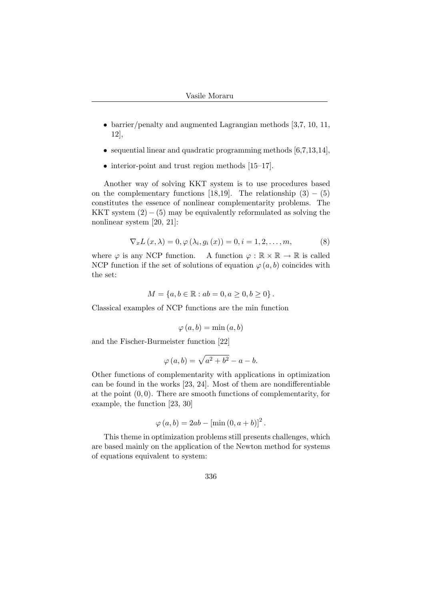- barrier/penalty and augmented Lagrangian methods [3,7, 10, 11, 12],
- sequential linear and quadratic programming methods  $[6,7,13,14]$ ,
- interior-point and trust region methods [15–17].

Another way of solving KKT system is to use procedures based on the complementary functions [18,19]. The relationship  $(3) - (5)$ constitutes the essence of nonlinear complementarity problems. The KKT system  $(2) - (5)$  may be equivalently reformulated as solving the nonlinear system [20, 21]:

$$
\nabla_x L(x,\lambda) = 0, \varphi(\lambda_i, g_i(x)) = 0, i = 1, 2, \dots, m,
$$
\n(8)

where  $\varphi$  is any NCP function. A function  $\varphi : \mathbb{R} \times \mathbb{R} \to \mathbb{R}$  is called NCP function if the set of solutions of equation  $\varphi(a, b)$  coincides with the set:

$$
M = \{a, b \in \mathbb{R} : ab = 0, a \ge 0, b \ge 0\}.
$$

Classical examples of NCP functions are the min function

$$
\varphi(a,b) = \min(a,b)
$$

and the Fischer-Burmeister function [22]

$$
\varphi(a,b) = \sqrt{a^2 + b^2} - a - b.
$$

Other functions of complementarity with applications in optimization can be found in the works [23, 24]. Most of them are nondifferentiable at the point  $(0, 0)$ . There are smooth functions of complementarity, for example, the function [23, 30]

$$
\varphi(a, b) = 2ab - [\min(0, a+b)]^2
$$
.

This theme in optimization problems still presents challenges, which are based mainly on the application of the Newton method for systems of equations equivalent to system: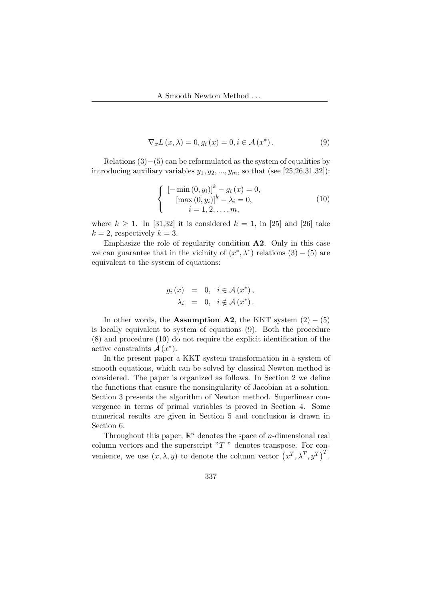$$
\nabla_x L(x, \lambda) = 0, g_i(x) = 0, i \in \mathcal{A}(x^*).
$$
 (9)

Relations  $(3)–(5)$  can be reformulated as the system of equalities by introducing auxiliary variables  $y_1, y_2, ..., y_m$ , so that (see [25,26,31,32]):

$$
\begin{cases}\n[-\min(0, y_i)]^k - g_i(x) = 0, \\
[\max(0, y_i)]^k - \lambda_i = 0, \\
i = 1, 2, \dots, m,\n\end{cases}
$$
\n(10)

where  $k \geq 1$ . In [31,32] it is considered  $k = 1$ , in [25] and [26] take  $k = 2$ , respectively  $k = 3$ .

Emphasize the role of regularity condition  $\mathbf{A2}$ . Only in this case we can guarantee that in the vicinity of  $(x^*, \lambda^*)$  relations  $(3) - (5)$  are equivalent to the system of equations:

$$
g_i(x) = 0, \quad i \in \mathcal{A}(x^*),
$$
  

$$
\lambda_i = 0, \quad i \notin \mathcal{A}(x^*).
$$

In other words, the Assumption A2, the KKT system  $(2) - (5)$ is locally equivalent to system of equations (9). Both the procedure (8) and procedure (10) do not require the explicit identification of the active constraints  $\mathcal{A}(x^*)$ .

In the present paper a KKT system transformation in a system of smooth equations, which can be solved by classical Newton method is considered. The paper is organized as follows. In Section 2 we define the functions that ensure the nonsingularity of Jacobian at a solution. Section 3 presents the algorithm of Newton method. Superlinear convergence in terms of primal variables is proved in Section 4. Some numerical results are given in Section 5 and conclusion is drawn in Section 6.

Throughout this paper,  $\mathbb{R}^n$  denotes the space of *n*-dimensional real column vectors and the superscript  $T$ " denotes transpose. For convenience, we use  $(x, \lambda, y)$  to denote the column vector  $(x^T, \lambda^T, y^T)^T$ .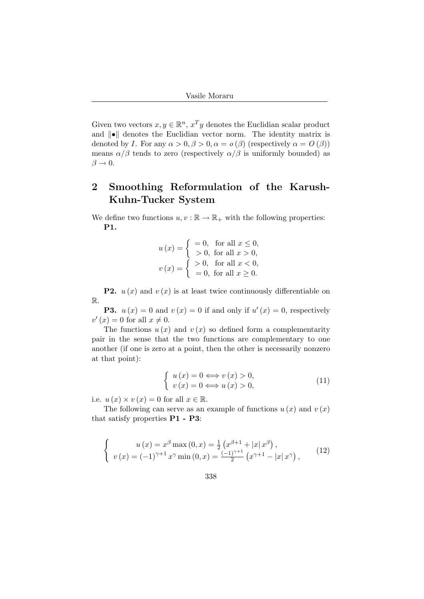Given two vectors  $x, y \in \mathbb{R}^n$ ,  $x^T y$  denotes the Euclidian scalar product and  $\|\bullet\|$  denotes the Euclidian vector norm. The identity matrix is denoted by I. For any  $\alpha > 0$ ,  $\beta > 0$ ,  $\alpha = o(\beta)$  (respectively  $\alpha = O(\beta)$ ) means  $\alpha/\beta$  tends to zero (respectively  $\alpha/\beta$  is uniformly bounded) as  $\beta \rightarrow 0.$ 

## 2 Smoothing Reformulation of the Karush-Kuhn-Tucker System

We define two functions  $u, v : \mathbb{R} \to \mathbb{R}_+$  with the following properties: P1.

$$
u(x) = \begin{cases} =0, & \text{for all } x \le 0, \\ >0, & \text{for all } x > 0, \end{cases}
$$
  

$$
v(x) = \begin{cases} >0, & \text{for all } x < 0, \\ =0, & \text{for all } x \ge 0. \end{cases}
$$

**P2.**  $u(x)$  and  $v(x)$  is at least twice continuously differentiable on R.

**P3.**  $u(x) = 0$  and  $v(x) = 0$  if and only if  $u'(x) = 0$ , respectively  $v'(x) = 0$  for all  $x \neq 0$ .

The functions  $u(x)$  and  $v(x)$  so defined form a complementarity pair in the sense that the two functions are complementary to one another (if one is zero at a point, then the other is necessarily nonzero at that point):

$$
\begin{cases}\n u(x) = 0 \Longleftrightarrow v(x) > 0, \\
 v(x) = 0 \Longleftrightarrow u(x) > 0,\n\end{cases}
$$
\n(11)

i.e.  $u(x) \times v(x) = 0$  for all  $x \in \mathbb{R}$ .

The following can serve as an example of functions  $u(x)$  and  $v(x)$ that satisfy properties P1 - P3:

$$
\begin{cases}\n u(x) = x^{\beta} \max(0, x) = \frac{1}{2} \left( x^{\beta+1} + |x| \, x^{\beta} \right), \\
 v(x) = (-1)^{\gamma+1} x^{\gamma} \min(0, x) = \frac{(-1)^{\gamma+1}}{2} \left( x^{\gamma+1} - |x| \, x^{\gamma} \right),\n\end{cases} (12)
$$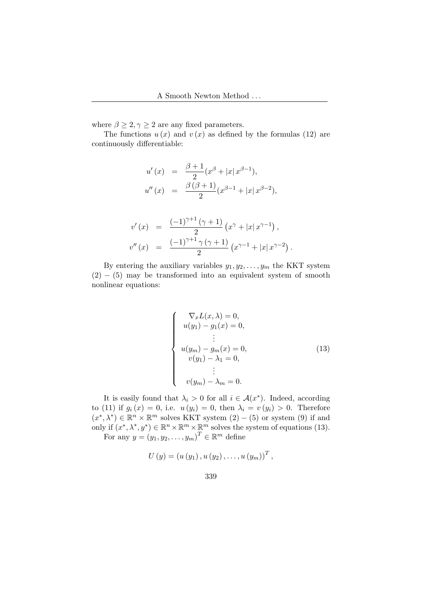where  $\beta \geq 2, \gamma \geq 2$  are any fixed parameters.

The functions  $u(x)$  and  $v(x)$  as defined by the formulas (12) are continuously differentiable:

$$
u'(x) = \frac{\beta + 1}{2} (x^{\beta} + |x| x^{\beta - 1}),
$$
  

$$
u''(x) = \frac{\beta (\beta + 1)}{2} (x^{\beta - 1} + |x| x^{\beta - 2}),
$$

$$
v'(x) = \frac{(-1)^{\gamma+1} (\gamma+1)}{2} (x^{\gamma} + |x| x^{\gamma-1}),
$$
  

$$
v''(x) = \frac{(-1)^{\gamma+1} \gamma (\gamma+1)}{2} (x^{\gamma-1} + |x| x^{\gamma-2}).
$$

By entering the auxiliary variables  $y_1, y_2, \ldots, y_m$  the KKT system  $(2) - (5)$  may be transformed into an equivalent system of smooth nonlinear equations:

$$
\begin{cases}\n\nabla_x L(x, \lambda) = 0, \\
u(y_1) - g_1(x) = 0, \\
\vdots \\
u(y_m) - g_m(x) = 0, \\
v(y_1) - \lambda_1 = 0, \\
\vdots \\
v(y_m) - \lambda_m = 0.\n\end{cases}
$$
\n(13)

It is easily found that  $\lambda_i > 0$  for all  $i \in \mathcal{A}(x^*)$ . Indeed, according to (11) if  $g_i(x) = 0$ , i.e.  $u(y_i) = 0$ , then  $\lambda_i = v(y_i) > 0$ . Therefore  $(x^*, \lambda^*) \in \mathbb{R}^n \times \mathbb{R}^m$  solves KKT system  $(2) - (5)$  or system  $(9)$  if and only if  $(x^*, \lambda^*, y^*) \in \mathbb{R}^n \times \mathbb{R}^m \times \mathbb{R}^m$  solves the system of equations (13). For any  $y = (y_1, y_2, \dots, y_m)^T \in \mathbb{R}^m$  define

$$
U(y) = (u(y_1), u(y_2), \ldots, u(y_m))^{T},
$$

$$
339\,
$$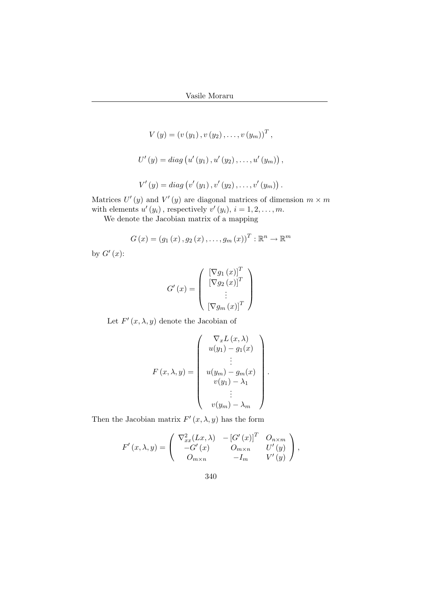$$
V(y) = (v(y_1), v(y_2), \dots, v(y_m))^{T},
$$
  

$$
U'(y) = diag(u'(y_1), u'(y_2), \dots, u'(y_m)),
$$
  

$$
V'(y) = diag(v'(y_1), v'(y_2), \dots, v'(y_m)).
$$

Matrices  $U'(y)$  and  $V'(y)$  are diagonal matrices of dimension  $m \times m$ with elements  $u'(y_i)$ , respectively  $v'(y_i)$ ,  $i = 1, 2, ..., m$ .

We denote the Jacobian matrix of a mapping

$$
G(x) = (g_1(x), g_2(x), \dots, g_m(x))^T : \mathbb{R}^n \to \mathbb{R}^m
$$

by  $G'(x)$ :

$$
G'(x) = \begin{pmatrix} [\nabla g_1(x)]^T \\ [\nabla g_2(x)]^T \\ \vdots \\ [\nabla g_m(x)]^T \end{pmatrix}
$$

Let  $F'(x, \lambda, y)$  denote the Jacobian of

$$
F(x, \lambda, y) = \begin{pmatrix} \nabla_x L(x, \lambda) \\ u(y_1) - g_1(x) \\ \vdots \\ u(y_m) - g_m(x) \\ v(y_1) - \lambda_1 \\ \vdots \\ v(y_m) - \lambda_m \end{pmatrix}
$$

.

Then the Jacobian matrix  $F'(x, \lambda, y)$  has the form

$$
F'(x,\lambda,y) = \begin{pmatrix} \nabla_{xx}^{2}(Lx,\lambda) & -[G'(x)]^{T} & O_{n\times m} \\ -G'(x) & O_{m\times n} & U'(y) \\ O_{m\times n} & -I_{m} & V'(y) \end{pmatrix},
$$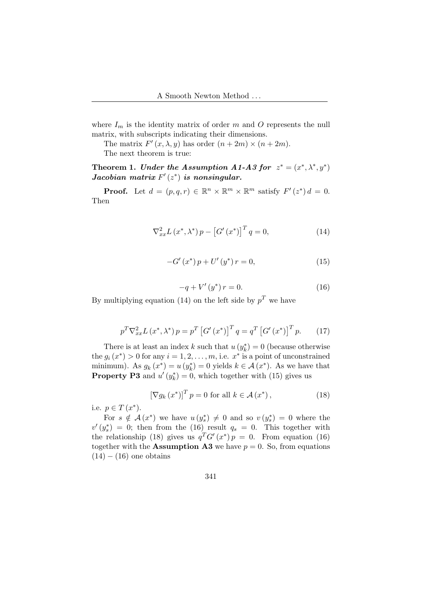where  $I_m$  is the identity matrix of order m and O represents the null matrix, with subscripts indicating their dimensions.

The matrix  $F'(x, \lambda, y)$  has order  $(n + 2m) \times (n + 2m)$ .

The next theorem is true:

Theorem 1. Under the Assumption A1-A3 for  $z^* = (x^*, \lambda^*, y^*)$ Jacobian matrix  $F'(z^*)$  is nonsingular.

**Proof.** Let  $d = (p, q, r) \in \mathbb{R}^n \times \mathbb{R}^m \times \mathbb{R}^m$  satisfy  $F'(z^*)d = 0$ . Then

$$
\nabla_{xx}^{2} L(x^{*}, \lambda^{*}) p - [G'(x^{*})]^{T} q = 0,
$$
\n(14)

$$
-G'(x^*) p + U'(y^*) r = 0,
$$
\n(15)

$$
-q + V'(y^*) r = 0.
$$
 (16)

By multiplying equation (14) on the left side by  $p<sup>T</sup>$  we have

$$
p^T \nabla_{xx}^2 L(x^*, \lambda^*) p = p^T \left[ G'(x^*) \right]^T q = q^T \left[ G'(x^*) \right]^T p. \tag{17}
$$

There is at least an index k such that  $u(y_k^*) = 0$  (because otherwise the  $g_i(x^*) > 0$  for any  $i = 1, 2, ..., m$ , i.e.  $x^*$  is a point of unconstrained minimum). As  $g_k(x^*) = u(y_k^*) = 0$  yields  $k \in \mathcal{A}(x^*)$ . As we have that **Property P3** and  $u'(y_k^*) = 0$ , which together with (15) gives us

$$
\left[\nabla g_k\left(x^*\right)\right]^T p = 0 \text{ for all } k \in \mathcal{A}\left(x^*\right),\tag{18}
$$

i.e.  $p \in T(x^*)$ .

For  $s \notin \mathcal{A}(x^*)$  we have  $u(y_s^*) \neq 0$  and so  $v(y_s^*) = 0$  where the  $v'(y_s^*) = 0$ ; then from the (16) result  $q_s = 0$ . This together with the relationship (18) gives us  $q^T G'(x^*) p = 0$ . From equation (16) together with the **Assumption A3** we have  $p = 0$ . So, from equations  $(14) - (16)$  one obtains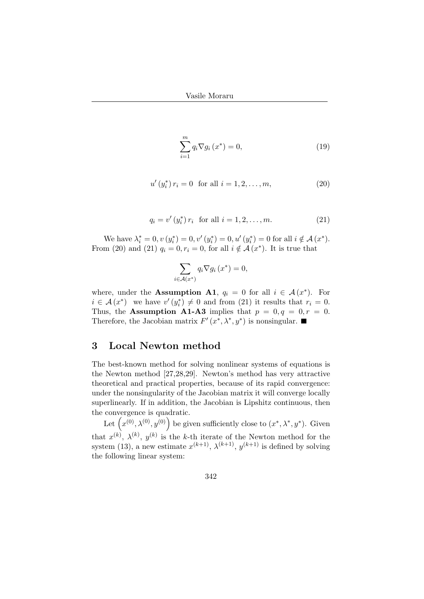$$
\sum_{i=1}^{m} q_i \nabla g_i \left( x^* \right) = 0,\tag{19}
$$

$$
u'(y_i^*) r_i = 0 \text{ for all } i = 1, 2, \dots, m,
$$
 (20)

$$
q_i = v'(y_i^*) r_i \text{ for all } i = 1, 2, ..., m. \tag{21}
$$

We have  $\lambda_i^* = 0, v(y_i^*) = 0, v'(y_i^*) = 0, u'(y_i^*) = 0$  for all  $i \notin \mathcal{A}(x^*)$ . From (20) and (21)  $q_i = 0, r_i = 0$ , for all  $i \notin \mathcal{A}(x^*)$ . It is true that

$$
\sum_{i \in \mathcal{A}(x^*)} q_i \nabla g_i \left( x^* \right) = 0,
$$

where, under the **Assumption A1**,  $q_i = 0$  for all  $i \in \mathcal{A}(x^*)$ . For  $i \in \mathcal{A}(x^*)$  we have  $v'(y_i^*) \neq 0$  and from (21) it results that  $r_i = 0$ . Thus, the Assumption A1-A3 implies that  $p = 0, q = 0, r = 0$ . Therefore, the Jacobian matrix  $F'(x^*, \lambda^*, y^*)$  is nonsingular.

## 3 Local Newton method

The best-known method for solving nonlinear systems of equations is the Newton method [27,28,29]. Newton's method has very attractive theoretical and practical properties, because of its rapid convergence: under the nonsingularity of the Jacobian matrix it will converge locally superlinearly. If in addition, the Jacobian is Lipshitz continuous, then the convergence is quadratic.

convergence is quadratic.<br>Let  $(x^{(0)}, \lambda^{(0)}, y^{(0)})$  be given sufficiently close to  $(x^*, \lambda^*, y^*)$ . Given that  $x^{(k)}$ ,  $\lambda^{(k)}$ ,  $y^{(k)}$  is the k-th iterate of the Newton method for the system (13), a new estimate  $x^{(k+1)}$ ,  $\lambda^{(k+1)}$ ,  $y^{(k+1)}$  is defined by solving the following linear system: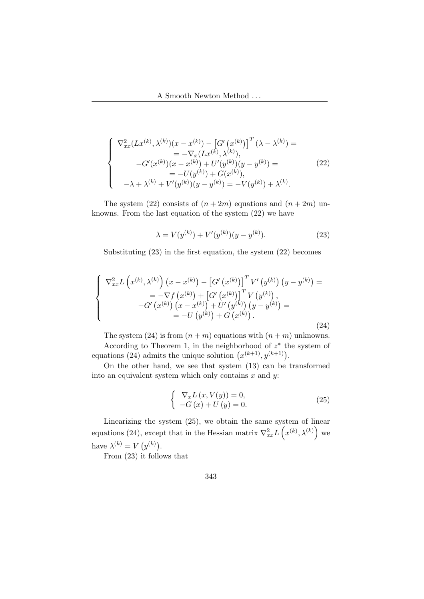$$
\begin{cases}\n\nabla_{xx}^{2}(Lx^{(k)},\lambda^{(k)})(x-x^{(k)}) - \left[G'(x^{(k)})\right]^{T}(\lambda - \lambda^{(k)}) = \\
= -\nabla_{x}(Lx^{(k)},\lambda^{(k)}), \\
-G'(x^{(k)})(x-x^{(k)}) + U'(y^{(k)})(y-y^{(k)}) = \\
= -U(y^{(k)}) + G(x^{(k)}), \\
-\lambda + \lambda^{(k)} + V'(y^{(k)})(y-y^{(k)}) = -V(y^{(k)}) + \lambda^{(k)}.\n\end{cases}
$$
\n(22)

The system (22) consists of  $(n+2m)$  equations and  $(n+2m)$  unknowns. From the last equation of the system (22) we have

$$
\lambda = V(y^{(k)}) + V'(y^{(k)})(y - y^{(k)}).
$$
\n(23)

Substituting (23) in the first equation, the system (22) becomes

$$
\begin{cases}\n\nabla_{xx}^{2} L\left(x^{(k)}, \lambda^{(k)}\right) \left(x - x^{(k)}\right) - \left[G'\left(x^{(k)}\right)\right]^{T} V'\left(y^{(k)}\right) \left(y - y^{(k)}\right) = \\
= -\nabla f\left(x^{(k)}\right) + \left[G'\left(x^{(k)}\right)\right]^{T} V\left(y^{(k)}\right), \\
-G'\left(x^{(k)}\right) \left(x - x^{(k)}\right) + U'\left(y^{(k)}\right) \left(y - y^{(k)}\right) = \\
= -U\left(y^{(k)}\right) + G\left(x^{(k)}\right).\n\end{cases}
$$
\n(24)

The system (24) is from  $(n + m)$  equations with  $(n + m)$  unknowns. According to Theorem 1, in the neighborhood of  $z^*$  the system of According to Theorem 1, in the neighborhood of z the equations (24) admits the unique solution  $(x^{(k+1)}, y^{(k+1)})$ .

On the other hand, we see that system (13) can be transformed into an equivalent system which only contains  $x$  and  $y$ :

$$
\begin{cases} \nabla_x L(x, V(y)) = 0, \\ -G(x) + U(y) = 0. \n\end{cases}
$$
\n(25)

Linearizing the system  $(25)$ , we obtain the same system of linear equations (24), except that in the Hessian matrix  $\nabla_{xx}^2 L(x^{(k)}, \lambda^{(k)})$  we have  $\lambda^{(k)} = V(y^{(k)})$ .  $\left( \frac{1}{2} \right)$ 

From (23) it follows that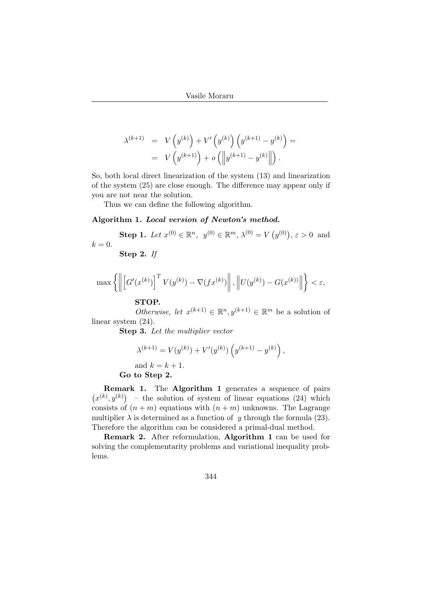$$
\lambda^{(k+1)} = V(y^{(k)}) + V'\left(y^{(k)}\right)\left(y^{(k+1)} - y^{(k)}\right) =
$$
  
=  $V(y^{(k+1)}) + o\left(\left\|y^{(k+1)} - y^{(k)}\right\|\right).$ 

So, both local direct linearization of the system (13) and linearization of the system (25) are close enough. The difference may appear only if you are not near the solution.

Thus we can define the following algorithm.

#### Algorithm 1. Local version of Newton's method.

Step 1. Let  $x^{(0)} \in \mathbb{R}^n$ ,  $y^{(0)} \in \mathbb{R}^m$ ,  $\lambda^{(0)} = V$  (  $y^{(0)}$ ,  $\varepsilon > 0$  and  $k=0.$ 

Step 2. If

$$
\max\left\{\left\|\left[G^\prime(x^{(k)})\right]^TV(y^{(k)})-\nabla(f x^{(k)})\right\|,\left\|U(y^{(k)})-G(x^{(k)})\right\|\right\}<\varepsilon,
$$

### STOP.

Otherwise, let  $x^{(k+1)} \in \mathbb{R}^n$ ,  $y^{(k+1)} \in \mathbb{R}^m$  be a solution of linear system  $(24)$ .

Step 3. Let the multiplier vector

$$
\lambda^{(k+1)} = V(y^{(k)}) + V'(y^{(k)}) \left( y^{(k+1)} - y^{(k)} \right),
$$
 and  $k = k + 1$ .  
Go to Step 2.

**Remark 1.** The **Algorithm 1** generates a sequence of pairs ¡  $x^{(k)}, y^{(k)}$  – the solution of system of linear equations (24) which consists of  $(n + m)$  equations with  $(n + m)$  unknowns. The Lagrange multiplier  $\lambda$  is determined as a function of y through the formula (23). Therefore the algorithm can be considered a primal-dual method.

Remark 2. After reformulation, Algorithm 1 can be used for solving the complementarity problems and variational inequality problems.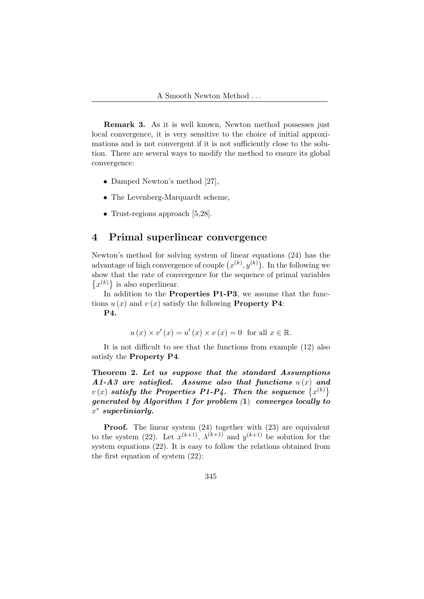Remark 3. As it is well known, Newton method possesses just local convergence, it is very sensitive to the choice of initial approximations and is not convergent if it is not sufficiently close to the solution. There are several ways to modify the method to ensure its global convergence:

- Damped Newton's method [27],
- The Levenberg-Marquardt scheme,
- Trust-regions approach [5,28].

## 4 Primal superlinear convergence

Newton's method for solving system of linear equations  $(24)$  has the rewton's method for solving system of finear equations (24) has the advantage of high convergence of couple  $(x^{(k)}, y^{(k)})$ . In the following we show that the rate of convergence for the sequence of primal variables  $x^{(k)}$  is also superlinear.

In addition to the **Properties P1-P3**, we assume that the functions  $u(x)$  and  $v(x)$  satisfy the following **Property P4**:

P4.

$$
u(x) \times v'(x) = u'(x) \times v(x) = 0 \text{ for all } x \in \mathbb{R}.
$$

It is not difficult to see that the functions from example (12) also satisfy the Property P4.

Theorem 2. Let us suppose that the standard Assumptions  $A1-A3$  are satisfied. Assume also that functions  $u(x)$  and A1-A3 are satisfied. Assume also that functions  $u(x)$  and  $v(x)$  satisfy the Properties P1-P4. Then the sequence  $\{x^{(k)}\}$ generated by Algorithm 1 for problem  $(1)$  converges locally to  $x^*$  superliniarly.

Proof. The linear system  $(24)$  together with  $(23)$  are equivalent to the system (22). Let  $x^{(k+1)}$ ,  $\lambda^{(k+1)}$  and  $y^{(k+1)}$  be solution for the system equations (22). It is easy to follow the relations obtained from the first equation of system (22):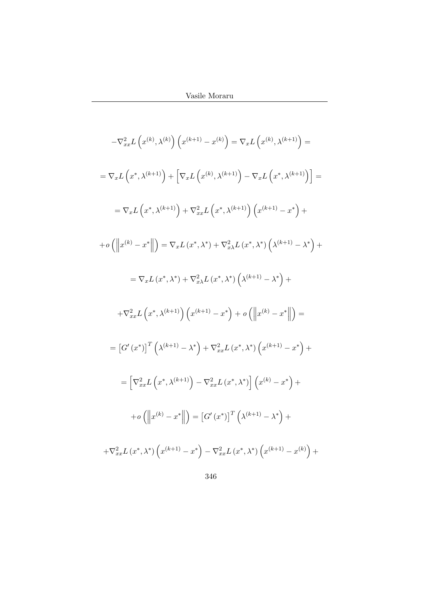$$
-\nabla_{xx}^{2}L\left(x^{(k)},\lambda^{(k)}\right)\left(x^{(k+1)}-x^{(k)}\right) = \nabla_{x}L\left(x^{(k)},\lambda^{(k+1)}\right) =
$$
\n
$$
=\nabla_{x}L\left(x^{*},\lambda^{(k+1)}\right) + \left[\nabla_{x}L\left(x^{(k)},\lambda^{(k+1)}\right) - \nabla_{x}L\left(x^{*},\lambda^{(k+1)}\right)\right] =
$$
\n
$$
=\nabla_{x}L\left(x^{*},\lambda^{(k+1)}\right) + \nabla_{xx}^{2}L\left(x^{*},\lambda^{(k+1)}\right)\left(x^{(k+1)}-x^{*}\right) +
$$
\n
$$
+ o\left(\left\|x^{(k)}-x^{*}\right\|\right) = \nabla_{x}L\left(x^{*},\lambda^{*}\right) + \nabla_{x}^{2}\lambda L\left(x^{*},\lambda^{*}\right)\left(\lambda^{(k+1)}-\lambda^{*}\right) +
$$
\n
$$
=\nabla_{x}L\left(x^{*},\lambda^{*}\right) + \nabla_{x}^{2}\lambda L\left(x^{*},\lambda^{*}\right)\left(\lambda^{(k+1)}-\lambda^{*}\right) +
$$
\n
$$
+ \nabla_{xx}^{2}L\left(x^{*},\lambda^{(k+1)}\right)\left(x^{(k+1)}-x^{*}\right) + o\left(\left\|x^{(k)}-x^{*}\right\|\right) =
$$
\n
$$
= \left[G'\left(x^{*}\right)\right]^{T}\left(\lambda^{(k+1)}-\lambda^{*}\right) + \nabla_{xx}^{2}L\left(x^{*},\lambda^{*}\right)\left(x^{(k+1)}-x^{*}\right) +
$$
\n
$$
= \left[\nabla_{xx}^{2}L\left(x^{*},\lambda^{(k+1)}\right) - \nabla_{xx}^{2}L\left(x^{*},\lambda^{*}\right)\right]\left(x^{(k)}-x^{*}\right) +
$$
\n
$$
+ o\left(\left\|x^{(k)}-x^{*}\right\|\right) = \left[G'\left(x^{*}\right)\right]^{T}\left(\lambda^{(k+1)}-\lambda^{*}\right) +
$$
\n
$$
+ \nabla_{xx}^{2}L\left(x^{*},\lambda^{
$$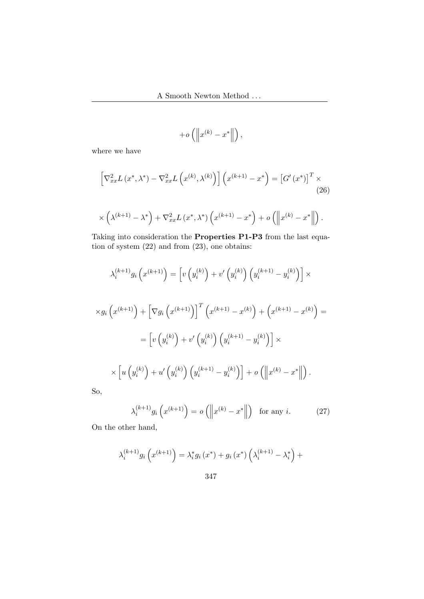$$
+o\left(\left\|x^{(k)}-x^*\right\|\right),\right
$$

where we have

$$
\[\nabla_{xx}^{2}L\left(x^{*},\lambda^{*}\right)-\nabla_{xx}^{2}L\left(x^{(k)},\lambda^{(k)}\right)\]\left(x^{(k+1)}-x^{*}\right)=\left[G'\left(x^{*}\right)\right]^{T}\times
$$
\n
$$
\times\left(\lambda^{(k+1)}-\lambda^{*}\right)+\nabla_{xx}^{2}L\left(x^{*},\lambda^{*}\right)\left(x^{(k+1)}-x^{*}\right)+o\left(\left\|x^{(k)}-x^{*}\right\|\right).
$$
\n(26)

Taking into consideration the Properties P1-P3 from the last equation of system (22) and from (23), one obtains:

$$
\lambda_i^{(k+1)} g_i \left( x^{(k+1)} \right) = \left[ v \left( y_i^{(k)} \right) + v' \left( y_i^{(k)} \right) \left( y_i^{(k+1)} - y_i^{(k)} \right) \right] \times
$$
  

$$
\times g_i \left( x^{(k+1)} \right) + \left[ \nabla g_i \left( x^{(k+1)} \right) \right]^T \left( x^{(k+1)} - x^{(k)} \right) + \left( x^{(k+1)} - x^{(k)} \right) =
$$
  

$$
= \left[ v \left( y_i^{(k)} \right) + v' \left( y_i^{(k)} \right) \left( y_i^{(k+1)} - y_i^{(k)} \right) \right] \times
$$
  

$$
\times \left[ u \left( y_i^{(k)} \right) + u' \left( y_i^{(k)} \right) \left( y_i^{(k+1)} - y_i^{(k)} \right) \right] + o \left( \left\| x^{(k)} - x^* \right\| \right).
$$

So,

$$
\lambda_i^{(k+1)} g_i \left( x^{(k+1)} \right) = o \left( \left\| x^{(k)} - x^* \right\| \right) \text{ for any } i. \tag{27}
$$

On the other hand,

$$
\lambda_i^{(k+1)} g_i \left( x^{(k+1)} \right) = \lambda_i^* g_i \left( x^* \right) + g_i \left( x^* \right) \left( \lambda_i^{(k+1)} - \lambda_i^* \right) +
$$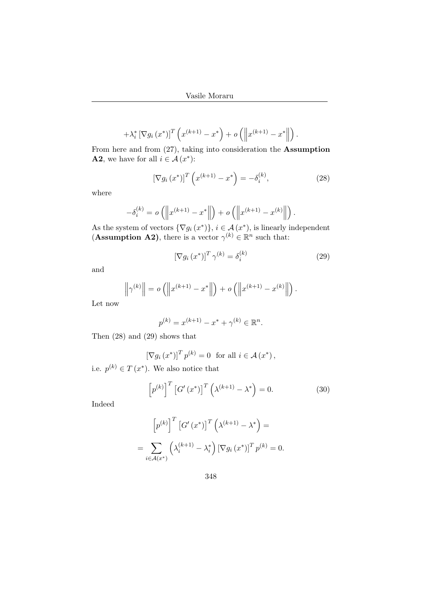$$
+ \lambda_i^* \left[ \nabla g_i \left( x^* \right) \right]^T \left( x^{(k+1)} - x^* \right) + o \left( \left\| x^{(k+1)} - x^* \right\| \right).
$$

From here and from (27), taking into consideration the Assumption **A2**, we have for all  $i \in \mathcal{A}(x^*)$ :

$$
[\nabla g_i(x^*)]^T \left( x^{(k+1)} - x^* \right) = -\delta_i^{(k)}, \tag{28}
$$

where

$$
-\delta_i^{(k)} = o\left(\left\|x^{(k+1)} - x^*\right\|\right) + o\left(\left\|x^{(k+1)} - x^{(k)}\right\|\right).
$$

As the system of vectors  $\{\nabla g_i(x^*)\}, i \in \mathcal{A}(x^*)$ , is linearly independent (**Assumption A2**), there is a vector  $\gamma^{(k)} \in \mathbb{R}^n$  such that:

$$
\left[\nabla g_i\left(x^*\right)\right]^T \gamma^{(k)} = \delta_i^{(k)} \tag{29}
$$

and

$$
\left\|\gamma^{(k)}\right\| = o\left(\left\|x^{(k+1)} - x^*\right\|\right) + o\left(\left\|x^{(k+1)} - x^{(k)}\right\|\right).
$$

Let now

$$
p^{(k)} = x^{(k+1)} - x^* + \gamma^{(k)} \in \mathbb{R}^n.
$$

Then (28) and (29) shows that

$$
\left[\nabla g_i\left(x^*\right)\right]^T p^{(k)} = 0 \text{ for all } i \in \mathcal{A}\left(x^*\right),
$$

i.e.  $p^{(k)} \in T(x^*)$ . We also notice that

$$
\[p^{(k)}\]^{T}\left[G'(x^{*})\right]^{T}\left(\lambda^{(k+1)}-\lambda^{*}\right)=0.\tag{30}
$$

Indeed

$$
\[p^{(k)}\]^{T} \left[G'(x^{*})\right]^{T} \left(\lambda^{(k+1)} - \lambda^{*}\right) =
$$
  
= 
$$
\sum_{i \in \mathcal{A}(x^{*})} \left(\lambda_{i}^{(k+1)} - \lambda_{i}^{*}\right) \left[\nabla g_{i}(x^{*})\right]^{T} p^{(k)} = 0.
$$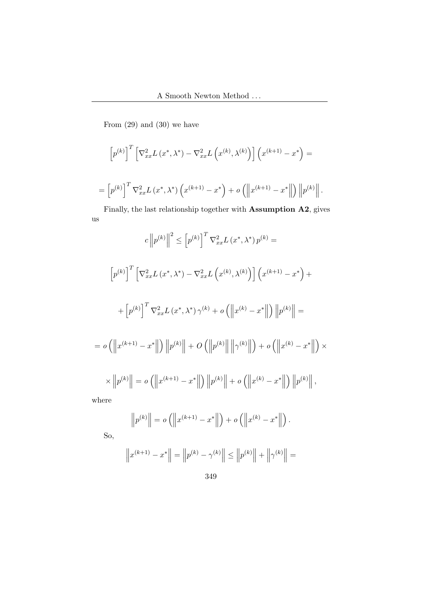From (29) and (30) we have

$$
\[p^{(k)}\]^{T}\left[\nabla_{xx}^{2}L\left(x^{*},\lambda^{*}\right)-\nabla_{xx}^{2}L\left(x^{(k)},\lambda^{(k)}\right)\right]\left(x^{(k+1)}-x^{*}\right)=
$$

$$
= \left[ p^{(k)} \right]^T \nabla_{xx}^2 L(x^*, \lambda^*) \left( x^{(k+1)} - x^* \right) + o \left( \left\| x^{(k+1)} - x^* \right\| \right) \left\| p^{(k)} \right\|.
$$

Finally, the last relationship together with Assumption A2, gives us

$$
c \|p^{(k)}\|^2 \leq [p^{(k)}]^T \nabla_{xx}^2 L(x^*, \lambda^*) p^{(k)} =
$$
  

$$
\left[p^{(k)}\right]^T \left[\nabla_{xx}^2 L(x^*, \lambda^*) - \nabla_{xx}^2 L(x^{(k)}, \lambda^{(k)})\right] \left(x^{(k+1)} - x^*\right) +
$$
  

$$
+ \left[p^{(k)}\right]^T \nabla_{xx}^2 L(x^*, \lambda^*) \gamma^{(k)} + o\left(\left\|x^{(k)} - x^*\right\|\right) \left\|p^{(k)}\right\| =
$$
  

$$
= o\left(\left\|x^{(k+1)} - x^*\right\|\right) \left\|p^{(k)}\right\| + O\left(\left\|p^{(k)}\right\|\right) \left\|\gamma^{(k)}\right\|\right) + o\left(\left\|x^{(k)} - x^*\right\|\right) \times
$$
  

$$
\times \left\|p^{(k)}\right\| = o\left(\left\|x^{(k+1)} - x^*\right\|\right) \left\|p^{(k)}\right\| + o\left(\left\|x^{(k)} - x^*\right\|\right) \left\|p^{(k)}\right\|,
$$
  
where

where

$$
\|p^{(k)}\| = o\left(\left\|x^{(k+1)} - x^*\right\|\right) + o\left(\left\|x^{(k)} - x^*\right\|\right).
$$

So,

$$
||p^{(k)}|| = o(||x^{(k+1)} - x^*||) + o(||x^{(k)} - x^*||).
$$
  

$$
||x^{(k+1)} - x^*|| = ||p^{(k)} - \gamma^{(k)}|| \le ||p^{(k)}|| + ||\gamma^{(k)}|| =
$$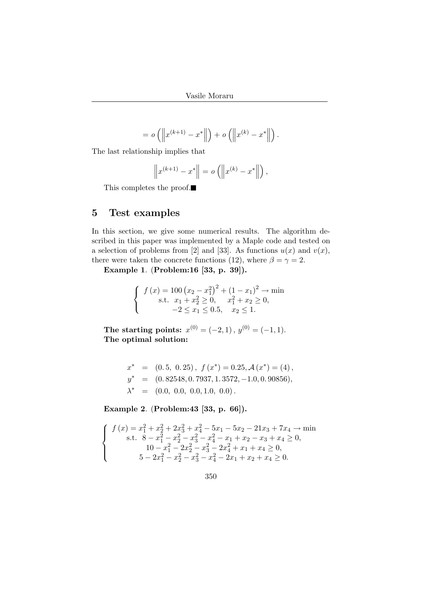$$
= o\left(\left\|x^{(k+1)} - x^*\right\|\right) + o\left(\left\|x^{(k)} - x^*\right\|\right).
$$

The last relationship implies that

$$
\[x^{(k+1)} - x^*\] = o\left(\[x^{(k)} - x^*\]\right),\]
$$

This completes the proof.

## 5 Test examples

In this section, we give some numerical results. The algorithm described in this paper was implemented by a Maple code and tested on a selection of problems from [2] and [33]. As functions  $u(x)$  and  $v(x)$ , there were taken the concrete functions (12), where  $\beta = \gamma = 2$ .

Example 1. (Problem:16 [33, p. 39]).

$$
\begin{cases} f(x) = 100 (x_2 - x_1^2)^2 + (1 - x_1)^2 \rightarrow \min\\ \text{s.t. } x_1 + x_2^2 \ge 0, \quad x_1^2 + x_2 \ge 0, \\ -2 \le x_1 \le 0.5, \quad x_2 \le 1. \end{cases}
$$

The starting points:  $x^{(0)} = (-2, 1), y^{(0)} = (-1, 1).$ The optimal solution:

$$
x^* = (0.5, 0.25), f(x^*) = 0.25, \mathcal{A}(x^*) = (4),
$$
  
\n
$$
y^* = (0.82548, 0.7937, 1.3572, -1.0, 0.90856),
$$
  
\n
$$
\lambda^* = (0.0, 0.0, 0.0, 1.0, 0.0).
$$

Example 2. (Problem:43 [33, p. 66]).

$$
\begin{cases}\n f(x) = x_1^2 + x_2^2 + 2x_3^2 + x_4^2 - 5x_1 - 5x_2 - 21x_3 + 7x_4 \rightarrow \min \\
 \text{s.t. } 8 - x_1^2 - x_2^2 - x_3^2 - x_4^2 - x_1 + x_2 - x_3 + x_4 \ge 0, \\
 10 - x_1^2 - 2x_2^2 - x_3^2 - 2x_4^2 + x_1 + x_4 \ge 0, \\
 5 - 2x_1^2 - x_2^2 - x_3^2 - x_4^2 - 2x_1 + x_2 + x_4 \ge 0.\n \end{cases}
$$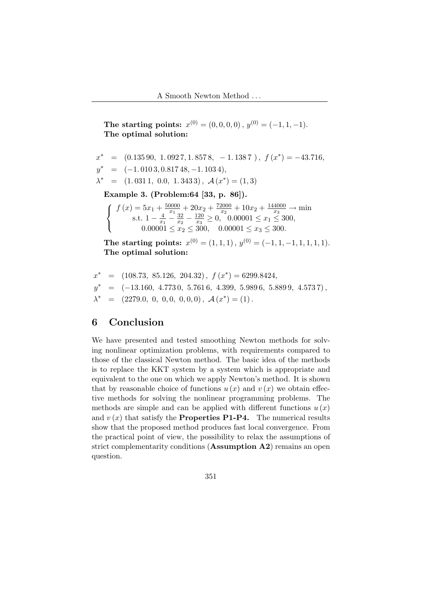The starting points:  $x^{(0)} = (0, 0, 0, 0), y^{(0)} = (-1, 1, -1)$ . The optimal solution:

$$
x^* = (0.135\,90, \ 1.092\,7, \ 1.857\,8, \ -1.138\,7 \ ), \ f(x^*) = -43.716,
$$
  
\n
$$
y^* = (-1.010\,3, \ 0.817\,48, \ -1.103\,4),
$$
  
\n
$$
\lambda^* = (1.031\,1, \ 0.0, \ 1.343\,3), \ \mathcal{A}(x^*) = (1, 3)
$$

Example 3. (Problem:64 [33, p. 86]).

$$
\begin{cases}\nf(x) = 5x_1 + \frac{50000}{x_1} + 20x_2 + \frac{72000}{x_2} + 10x_2 + \frac{144000}{x_3} \rightarrow \min \\
\text{s.t. } 1 - \frac{4}{x_1} - \frac{32}{x_2} - \frac{120}{x_3} \ge 0, \quad 0.00001 \le x_1 \le 300, \\
0.00001 \le x_2 \le 300, \quad 0.00001 \le x_3 \le 300.\n\end{cases}
$$

The starting points:  $x^{(0)} = (1, 1, 1), y^{(0)} = (-1, 1, -1, 1, 1, 1, 1).$ The optimal solution:

$$
x^* = (108.73, 85.126, 204.32), f(x^*) = 6299.8424,
$$
  
\n
$$
y^* = (-13.160, 4.7730, 5.7616, 4.399, 5.9896, 5.8899, 4.5737),
$$
  
\n
$$
\lambda^* = (2279.0, 0, 0, 0, 0, 0, 0), \mathcal{A}(x^*) = (1).
$$

## 6 Conclusion

We have presented and tested smoothing Newton methods for solving nonlinear optimization problems, with requirements compared to those of the classical Newton method. The basic idea of the methods is to replace the KKT system by a system which is appropriate and equivalent to the one on which we apply Newton's method. It is shown that by reasonable choice of functions  $u(x)$  and  $v(x)$  we obtain effective methods for solving the nonlinear programming problems. The methods are simple and can be applied with different functions  $u(x)$ and  $v(x)$  that satisfy the **Properties P1-P4.** The numerical results show that the proposed method produces fast local convergence. From the practical point of view, the possibility to relax the assumptions of strict complementarity conditions (Assumption A2) remains an open question.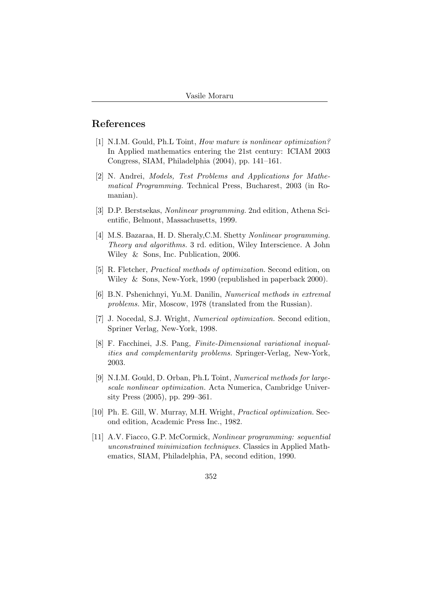## References

- [1] N.I.M. Gould, Ph.L Toint, How mature is nonlinear optimization? In Applied mathematics entering the 21st century: ICIAM 2003 Congress, SIAM, Philadelphia (2004), pp. 141–161.
- [2] N. Andrei, Models, Test Problems and Applications for Mathematical Programming. Technical Press, Bucharest, 2003 (in Romanian).
- [3] D.P. Berstsekas, Nonlinear programming. 2nd edition, Athena Scientific, Belmont, Massachusetts, 1999.
- [4] M.S. Bazaraa, H. D. Sheraly,C.M. Shetty Nonlinear programming. Theory and algorithms. 3 rd. edition, Wiley Interscience. A John Wiley & Sons, Inc. Publication, 2006.
- [5] R. Fletcher, Practical methods of optimization. Second edition, on Wiley & Sons, New-York, 1990 (republished in paperback 2000).
- [6] B.N. Pshenichnyi, Yu.M. Danilin, Numerical methods in extremal problems. Mir, Moscow, 1978 (translated from the Russian).
- [7] J. Nocedal, S.J. Wright, Numerical optimization. Second edition, Spriner Verlag, New-York, 1998.
- [8] F. Facchinei, J.S. Pang, Finite-Dimensional variational inequalities and complementarity problems. Springer-Verlag, New-York, 2003.
- [9] N.I.M. Gould, D. Orban, Ph.L Toint, Numerical methods for largescale nonlinear optimization. Acta Numerica, Cambridge University Press (2005), pp. 299–361.
- [10] Ph. E. Gill, W. Murray, M.H. Wright, Practical optimization. Second edition, Academic Press Inc., 1982.
- [11] A.V. Fiacco, G.P. McCormick, Nonlinear programming: sequential unconstrained minimization techniques. Classics in Applied Mathematics, SIAM, Philadelphia, PA, second edition, 1990.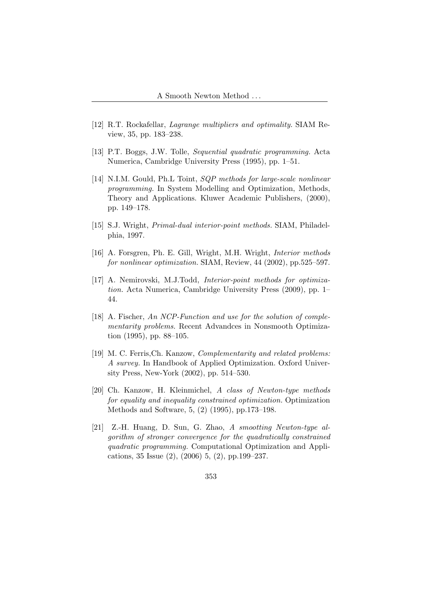- [12] R.T. Rockafellar, Lagrange multipliers and optimality. SIAM Review, 35, pp. 183–238.
- [13] P.T. Boggs, J.W. Tolle, Sequential quadratic programming. Acta Numerica, Cambridge University Press (1995), pp. 1–51.
- [14] N.I.M. Gould, Ph.L Toint, *SQP methods for large-scale nonlinear* programming. In System Modelling and Optimization, Methods, Theory and Applications. Kluwer Academic Publishers, (2000), pp. 149–178.
- [15] S.J. Wright, Primal-dual interior-point methods. SIAM, Philadelphia, 1997.
- [16] A. Forsgren, Ph. E. Gill, Wright, M.H. Wright, Interior methods for nonlinear optimization. SIAM, Review, 44 (2002), pp.525–597.
- [17] A. Nemirovski, M.J.Todd, *Interior-point methods for optimiza*tion. Acta Numerica, Cambridge University Press (2009), pp. 1– 44.
- [18] A. Fischer, An NCP-Function and use for the solution of complementarity problems. Recent Advandces in Nonsmooth Optimization (1995), pp. 88–105.
- [19] M. C. Ferris, Ch. Kanzow, *Complementarity and related problems:* A survey. In Handbook of Applied Optimization. Oxford University Press, New-York (2002), pp. 514–530.
- [20] Ch. Kanzow, H. Kleinmichel, A class of Newton-type methods for equality and inequality constrained optimization. Optimization Methods and Software, 5, (2) (1995), pp.173–198.
- [21] Z.-H. Huang, D. Sun, G. Zhao, A smootting Newton-type algorithm of stronger convergence for the quadratically constrained quadratic programming. Computational Optimization and Applications, 35 Issue (2), (2006) 5, (2), pp.199–237.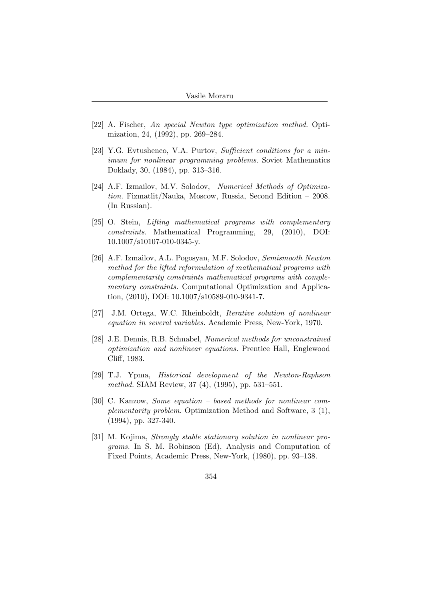- [22] A. Fischer, An special Newton type optimization method. Optimization, 24, (1992), pp. 269–284.
- [23] Y.G. Evtushenco, V.A. Purtov, Sufficient conditions for a minimum for nonlinear programming problems. Soviet Mathematics Doklady, 30, (1984), pp. 313–316.
- [24] A.F. Izmailov, M.V. Solodov, Numerical Methods of Optimization. Fizmatlit/Nauka, Moscow, Russia, Second Edition – 2008. (In Russian).
- [25] O. Stein, Lifting mathematical programs with complementary constraints. Mathematical Programming, 29, (2010), DOI: 10.1007/s10107-010-0345-y.
- [26] A.F. Izmailov, A.L. Pogosyan, M.F. Solodov, Semismooth Newton method for the lifted reformulation of mathematical programs with complementarity constraints mathematical programs with complementary constraints. Computational Optimization and Application, (2010), DOI: 10.1007/s10589-010-9341-7.
- [27] J.M. Ortega, W.C. Rheinboldt, Iterative solution of nonlinear equation in several variables. Academic Press, New-York, 1970.
- [28] J.E. Dennis, R.B. Schnabel, Numerical methods for unconstrained optimization and nonlinear equations. Prentice Hall, Englewood Cliff, 1983.
- [29] T.J. Ypma, Historical development of the Newton-Raphson method. SIAM Review, 37 (4), (1995), pp. 531–551.
- [30] C. Kanzow, Some equation based methods for nonlinear complementarity problem. Optimization Method and Software, 3 (1), (1994), pp. 327-340.
- [31] M. Kojima, Strongly stable stationary solution in nonlinear programs. In S. M. Robinson (Ed), Analysis and Computation of Fixed Points, Academic Press, New-York, (1980), pp. 93–138.